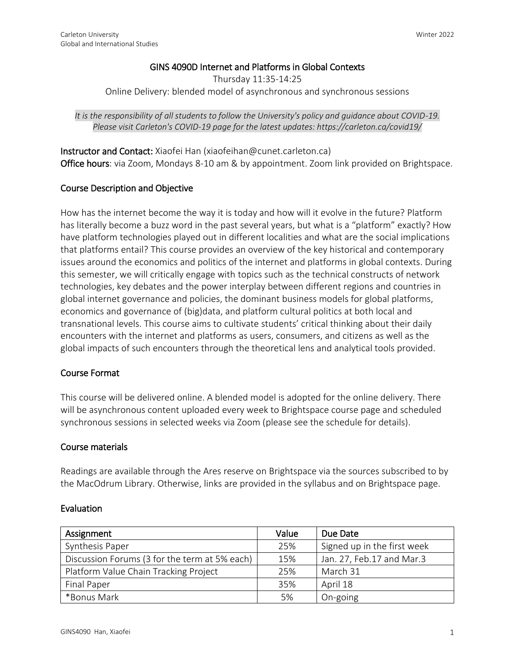# GINS 4090D Internet and Platforms in Global Contexts

Thursday 11:35-14:25 Online Delivery: blended model of asynchronous and synchronous sessions

*It is the responsibility of all students to follow the University's policy and guidance about COVID-19. Please visit Carleton's COVID-19 page for the latest updates: https://carleton.ca/covid19/*

Instructor and Contact: Xiaofei Han (xiaofeihan@cunet.carleton.ca) Office hours: via Zoom, Mondays 8-10 am & by appointment. Zoom link provided on Brightspace.

## Course Description and Objective

How has the internet become the way it is today and how will it evolve in the future? Platform has literally become a buzz word in the past several years, but what is a "platform" exactly? How have platform technologies played out in different localities and what are the social implications that platforms entail? This course provides an overview of the key historical and contemporary issues around the economics and politics of the internet and platforms in global contexts. During this semester, we will critically engage with topics such as the technical constructs of network technologies, key debates and the power interplay between different regions and countries in global internet governance and policies, the dominant business models for global platforms, economics and governance of (big)data, and platform cultural politics at both local and transnational levels. This course aims to cultivate students' critical thinking about their daily encounters with the internet and platforms as users, consumers, and citizens as well as the global impacts of such encounters through the theoretical lens and analytical tools provided.

### Course Format

This course will be delivered online. A blended model is adopted for the online delivery. There will be asynchronous content uploaded every week to Brightspace course page and scheduled synchronous sessions in selected weeks via Zoom (please see the schedule for details).

### Course materials

Readings are available through the Ares reserve on Brightspace via the sources subscribed to by the MacOdrum Library. Otherwise, links are provided in the syllabus and on Brightspace page.

### Evaluation

| Assignment                                    | Value | Due Date                    |
|-----------------------------------------------|-------|-----------------------------|
| Synthesis Paper                               | 25%   | Signed up in the first week |
| Discussion Forums (3 for the term at 5% each) | 15%   | Jan. 27, Feb.17 and Mar.3   |
| Platform Value Chain Tracking Project         | 25%   | March 31                    |
| Final Paper                                   | 35%   | April 18                    |
| *Bonus Mark                                   | 5%    | On-going                    |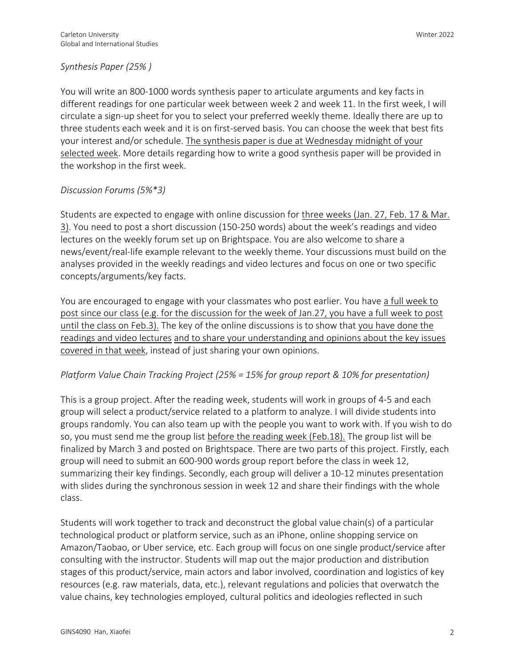## *Synthesis Paper (25% )*

You will write an 800-1000 words synthesis paper to articulate arguments and key facts in different readings for one particular week between week 2 and week 11. In the first week, I will circulate a sign-up sheet for you to select your preferred weekly theme. Ideally there are up to three students each week and it is on first-served basis. You can choose the week that best fits your interest and/or schedule. The synthesis paper is due at Wednesday midnight of your selected week. More details regarding how to write a good synthesis paper will be provided in the workshop in the first week.

### *Discussion Forums (5%\*3)*

Students are expected to engage with online discussion for three weeks (Jan. 27, Feb. 17 & Mar. 3). You need to post a short discussion (150-250 words) about the week's readings and video lectures on the weekly forum set up on Brightspace. You are also welcome to share a news/event/real-life example relevant to the weekly theme. Your discussions must build on the analyses provided in the weekly readings and video lectures and focus on one or two specific concepts/arguments/key facts.

You are encouraged to engage with your classmates who post earlier. You have a full week to post since our class (e.g. for the discussion for the week of Jan.27, you have a full week to post until the class on Feb.3). The key of the online discussions is to show that you have done the readings and video lectures and to share your understanding and opinions about the key issues covered in that week, instead of just sharing your own opinions.

### *Platform Value Chain Tracking Project (25% = 15% for group report & 10% for presentation)*

This is a group project. After the reading week, students will work in groups of 4-5 and each group will select a product/service related to a platform to analyze. I will divide students into groups randomly. You can also team up with the people you want to work with. If you wish to do so, you must send me the group list before the reading week (Feb.18). The group list will be finalized by March 3 and posted on Brightspace. There are two parts of this project. Firstly, each group will need to submit an 600-900 words group report before the class in week 12, summarizing their key findings. Secondly, each group will deliver a 10-12 minutes presentation with slides during the synchronous session in week 12 and share their findings with the whole class.

Students will work together to track and deconstruct the global value chain(s) of a particular technological product or platform service, such as an iPhone, online shopping service on Amazon/Taobao, or Uber service, etc. Each group will focus on one single product/service after consulting with the instructor. Students will map out the major production and distribution stages of this product/service, main actors and labor involved, coordination and logistics of key resources (e.g. raw materials, data, etc.), relevant regulations and policies that overwatch the value chains, key technologies employed, cultural politics and ideologies reflected in such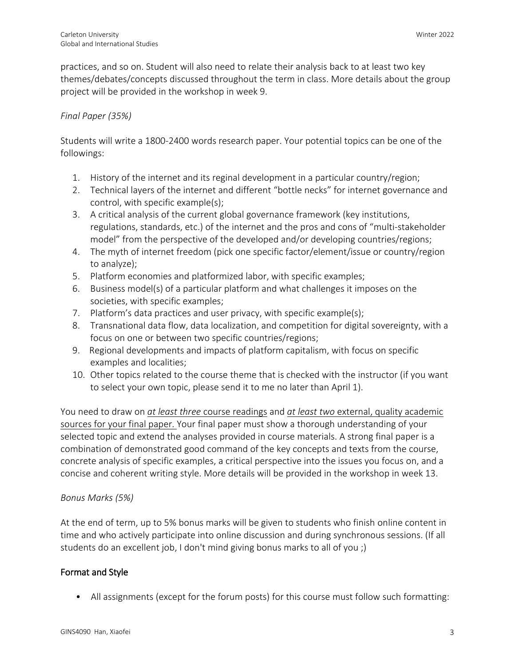practices, and so on. Student will also need to relate their analysis back to at least two key themes/debates/concepts discussed throughout the term in class. More details about the group project will be provided in the workshop in week 9.

# *Final Paper (35%)*

Students will write a 1800-2400 words research paper. Your potential topics can be one of the followings:

- 1. History of the internet and its reginal development in a particular country/region;
- 2. Technical layers of the internet and different "bottle necks" for internet governance and control, with specific example(s);
- 3. A critical analysis of the current global governance framework (key institutions, regulations, standards, etc.) of the internet and the pros and cons of "multi-stakeholder model" from the perspective of the developed and/or developing countries/regions;
- 4. The myth of internet freedom (pick one specific factor/element/issue or country/region to analyze);
- 5. Platform economies and platformized labor, with specific examples;
- 6. Business model(s) of a particular platform and what challenges it imposes on the societies, with specific examples;
- 7. Platform's data practices and user privacy, with specific example(s);
- 8. Transnational data flow, data localization, and competition for digital sovereignty, with a focus on one or between two specific countries/regions;
- 9. Regional developments and impacts of platform capitalism, with focus on specific examples and localities;
- 10. Other topics related to the course theme that is checked with the instructor (if you want to select your own topic, please send it to me no later than April 1).

You need to draw on *at least three* course readings and *at least two* external, quality academic sources for your final paper. Your final paper must show a thorough understanding of your selected topic and extend the analyses provided in course materials. A strong final paper is a combination of demonstrated good command of the key concepts and texts from the course, concrete analysis of specific examples, a critical perspective into the issues you focus on, and a concise and coherent writing style. More details will be provided in the workshop in week 13.

# *Bonus Marks (5%)*

At the end of term, up to 5% bonus marks will be given to students who finish online content in time and who actively participate into online discussion and during synchronous sessions. (If all students do an excellent job, I don't mind giving bonus marks to all of you ;)

# Format and Style

• All assignments (except for the forum posts) for this course must follow such formatting: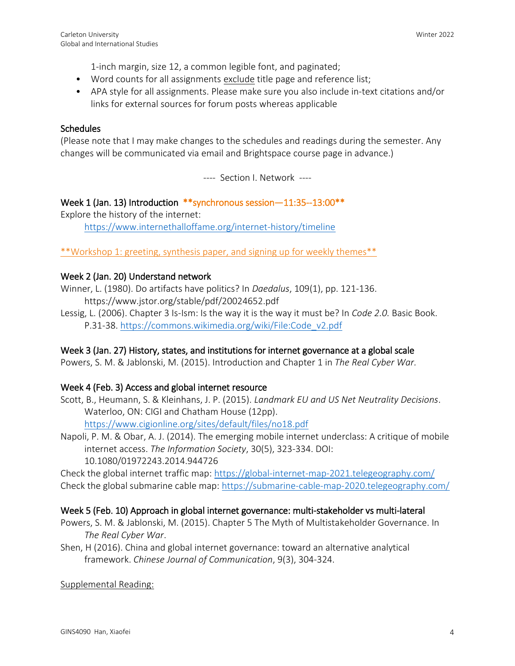1-inch margin, size 12, a common legible font, and paginated;

- Word counts for all assignments exclude title page and reference list;
- APA style for all assignments. Please make sure you also include in-text citations and/or links for external sources for forum posts whereas applicable

## **Schedules**

(Please note that I may make changes to the schedules and readings during the semester. Any changes will be communicated via email and Brightspace course page in advance.)

---- Section I. Network ----

# Week 1 (Jan. 13) Introduction \*\*synchronous session—11:35--13:00\*\*

Explore the history of the internet: <https://www.internethalloffame.org/internet-history/timeline>

\*\*Workshop 1: greeting, synthesis paper, and signing up for weekly themes\*\*

## Week 2 (Jan. 20) Understand network

Winner, L. (1980). Do artifacts have politics? In *Daedalus*, 109(1), pp. 121-136. https://www.jstor.org/stable/pdf/20024652.pdf

Lessig, L. (2006). Chapter 3 Is-Ism: Is the way it is the way it must be? In *Code 2.0.* Basic Book. P.31-38. [https://commons.wikimedia.org/wiki/File:Code\\_v2.pdf](https://commons.wikimedia.org/wiki/File:Code_v2.pdf)

# Week 3 (Jan. 27) History, states, and institutions for internet governance at a global scale

Powers, S. M. & Jablonski, M. (2015). Introduction and Chapter 1 in *The Real Cyber War.*

### Week 4 (Feb. 3) Access and global internet resource

- Scott, B., Heumann, S. & Kleinhans, J. P. (2015). *Landmark EU and US Net Neutrality Decisions*. Waterloo, ON: CIGI and Chatham House (12pp). <https://www.cigionline.org/sites/default/files/no18.pdf>
- Napoli, P. M. & Obar, A. J. (2014). The emerging mobile internet underclass: A critique of mobile internet access. *The Information Society*, 30(5), 323-334. DOI: 10.1080/01972243.2014.944726

Check the global internet traffic map:<https://global-internet-map-2021.telegeography.com/> Check the global submarine cable map:<https://submarine-cable-map-2020.telegeography.com/>

### Week 5 (Feb. 10) Approach in global internet governance: multi-stakeholder vs multi-lateral

- Powers, S. M. & Jablonski, M. (2015). Chapter 5 The Myth of Multistakeholder Governance. In *The Real Cyber War*.
- Shen, H (2016). China and global internet governance: toward an alternative analytical framework. *Chinese Journal of Communication*, 9(3), 304-324.

### Supplemental Reading: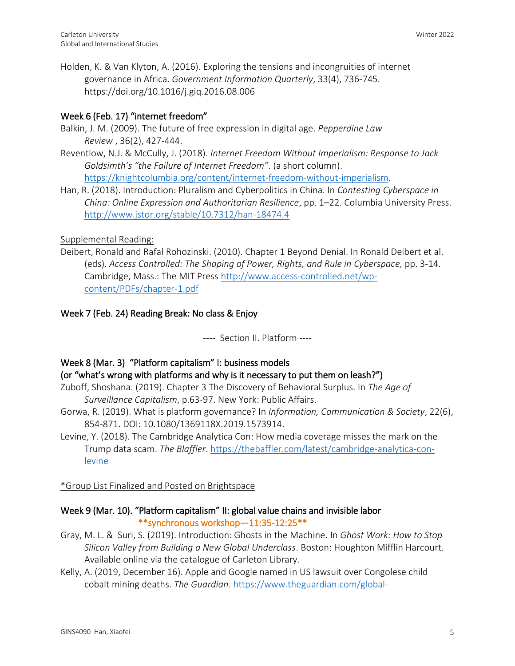Holden, K. & Van Klyton, A. (2016). Exploring the tensions and incongruities of internet governance in Africa. *Government Information Quarterly*, 33(4), 736-745. https://doi.org/10.1016/j.giq.2016.08.006

# Week 6 (Feb. 17) "internet freedom"

- Balkin, J. M. (2009). The future of free expression in digital age. *Pepperdine Law Review* , 36(2), 427-444.
- Reventlow, N.J. & McCully, J. (2018). *Internet Freedom Without Imperialism: Response to Jack Goldsimth's "the Failure of Internet Freedom"*. (a short column). [https://knightcolumbia.org/content/internet-freedom-without-imperialism.](https://knightcolumbia.org/content/internet-freedom-without-imperialism)
- Han, R. (2018). Introduction: Pluralism and Cyberpolitics in China. In *Contesting Cyberspace in China: Online Expression and Authoritarian Resilience*, pp. 1–22. Columbia University Press. <http://www.jstor.org/stable/10.7312/han-18474.4>

# Supplemental Reading:

Deibert, Ronald and Rafal Rohozinski. (2010). Chapter 1 Beyond Denial. In Ronald Deibert et al. (eds). *Access Controlled: The Shaping of Power, Rights, and Rule in Cyberspace,* pp. 3-14. Cambridge, Mass.: The MIT Press [http://www.access-controlled.net/wp](http://www.access-controlled.net/wp-content/PDFs/chapter-1.pdf)[content/PDFs/chapter-1.pdf](http://www.access-controlled.net/wp-content/PDFs/chapter-1.pdf)

# Week 7 (Feb. 24) Reading Break: No class & Enjoy

---- Section II. Platform ----

# Week 8 (Mar. 3) "Platform capitalism" I: business models

# (or "what's wrong with platforms and why is it necessary to put them on leash?")

- Zuboff, Shoshana. (2019). Chapter 3 The Discovery of Behavioral Surplus. In *The Age of Surveillance Capitalism*, p.63-97. New York: Public Affairs.
- Gorwa, R. (2019). What is platform governance? In *Information, Communication & Society*, 22(6), 854-871. DOI: 10.1080/1369118X.2019.1573914.
- Levine, Y. (2018). The Cambridge Analytica Con: How media coverage misses the mark on the Trump data scam. *The Blaffler*. [https://thebaffler.com/latest/cambridge-analytica-con](https://thebaffler.com/latest/cambridge-analytica-con-levine)[levine](https://thebaffler.com/latest/cambridge-analytica-con-levine)

# \*Group List Finalized and Posted on Brightspace

# Week 9 (Mar. 10). "Platform capitalism" II: global value chains and invisible labor \*\*synchronous workshop—11:35-12:25\*\*

- Gray, M. L. & Suri, S. (2019). Introduction: Ghosts in the Machine. In *Ghost Work: How to Stop Silicon Valley from Building a New Global Underclass*. Boston: Houghton Mifflin Harcourt. Available online via the catalogue of Carleton Library.
- Kelly, A. (2019, December 16). Apple and Google named in US lawsuit over Congolese child cobalt mining deaths. *The Guardian*. [https://www.theguardian.com/global-](https://www.theguardian.com/global-development/2019/dec/16/apple-and-google-named-in-us-lawsuit-over-congolese-child-cobalt-mining-deaths)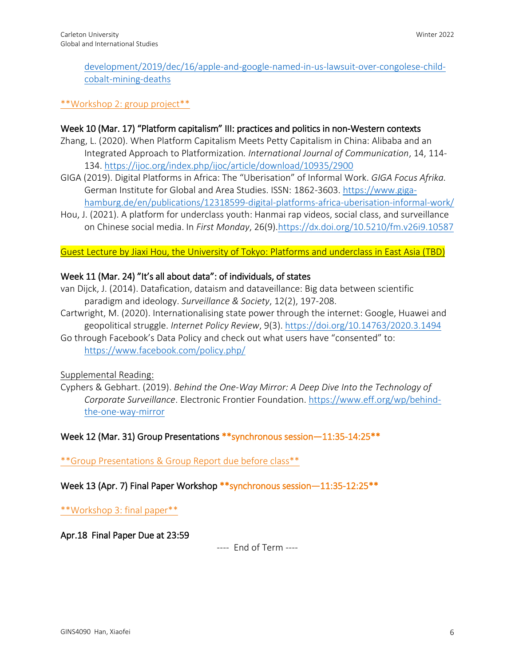[development/2019/dec/16/apple-and-google-named-in-us-lawsuit-over-congolese-child](https://www.theguardian.com/global-development/2019/dec/16/apple-and-google-named-in-us-lawsuit-over-congolese-child-cobalt-mining-deaths)[cobalt-mining-deaths](https://www.theguardian.com/global-development/2019/dec/16/apple-and-google-named-in-us-lawsuit-over-congolese-child-cobalt-mining-deaths)

\*\*Workshop 2: group project\*\*

## Week 10 (Mar. 17) "Platform capitalism" III: practices and politics in non-Western contexts

- Zhang, L. (2020). When Platform Capitalism Meets Petty Capitalism in China: Alibaba and an Integrated Approach to Platformization*. International Journal of Communication*, 14, 114- 134.<https://ijoc.org/index.php/ijoc/article/download/10935/2900>
- GIGA (2019). Digital Platforms in Africa: The "Uberisation" of Informal Work. *GIGA Focus Afrika.*  German Institute for Global and Area Studies. ISSN: 1862-3603. [https://www.giga](https://www.giga-hamburg.de/en/publications/12318599-digital-platforms-africa-uberisation-informal-work/)[hamburg.de/en/publications/12318599-digital-platforms-africa-uberisation-informal-work/](https://www.giga-hamburg.de/en/publications/12318599-digital-platforms-africa-uberisation-informal-work/)
- Hou, J. (2021). A platform for underclass youth: Hanmai rap videos, social class, and surveillance on Chinese social media. In *First Monday*, 26(9)[.https://dx.doi.org/10.5210/fm.v26i9.10587](https://dx.doi.org/10.5210/fm.v26i9.10587)

Guest Lecture by Jiaxi Hou, the University of Tokyo: Platforms and underclass in East Asia (TBD)

### Week 11 (Mar. 24) "It's all about data": of individuals, of states

- van Dijck, J. (2014). Datafication, dataism and dataveillance: Big data between scientific paradigm and ideology. *Surveillance & Society*, 12(2), 197-208.
- Cartwright, M. (2020). Internationalising state power through the internet: Google, Huawei and geopolitical struggle. *Internet Policy Review*, 9(3).<https://doi.org/10.14763/2020.3.1494>
- Go through Facebook's Data Policy and check out what users have "consented" to: <https://www.facebook.com/policy.php/>

Supplemental Reading:

Cyphers & Gebhart. (2019). *Behind the One-Way Mirror: A Deep Dive Into the Technology of Corporate Surveillance*. Electronic Frontier Foundation. [https://www.eff.org/wp/behind](https://www.eff.org/wp/behind-the-one-way-mirror)[the-one-way-mirror](https://www.eff.org/wp/behind-the-one-way-mirror)

Week 12 (Mar. 31) Group Presentations \*\*synchronous session—11:35-14:25\*\*

\*\*Group Presentations & Group Report due before class\*\*

Week 13 (Apr. 7) Final Paper Workshop \*\* synchronous session - 11:35-12:25 \*\*

\*\*Workshop 3: final paper\*\*

Apr.18 Final Paper Due at 23:59

---- End of Term ----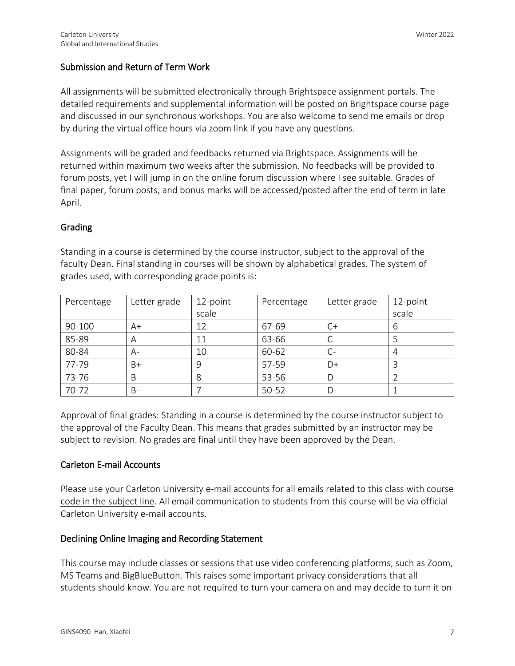# Submission and Return of Term Work

All assignments will be submitted electronically through Brightspace assignment portals. The detailed requirements and supplemental information will be posted on Brightspace course page and discussed in our synchronous workshops. You are also welcome to send me emails or drop by during the virtual office hours via zoom link if you have any questions.

Assignments will be graded and feedbacks returned via Brightspace. Assignments will be returned within maximum two weeks after the submission. No feedbacks will be provided to forum posts, yet I will jump in on the online forum discussion where I see suitable. Grades of final paper, forum posts, and bonus marks will be accessed/posted after the end of term in late April.

## Grading

Standing in a course is determined by the course instructor, subject to the approval of the faculty Dean. Final standing in courses will be shown by alphabetical grades. The system of grades used, with corresponding grade points is:

| Percentage | Letter grade | 12-point | Percentage | Letter grade | 12-point |
|------------|--------------|----------|------------|--------------|----------|
|            |              | scale    |            |              | scale    |
| 90-100     | A+           | 12       | 67-69      | C+           | 6        |
| 85-89      | Α            | 11       | 63-66      |              |          |
| 80-84      | A-           | 10       | 60-62      | C-           |          |
| 77-79      | B+           | 9        | 57-59      | D+           |          |
| 73-76      | В            | 8        | 53-56      |              |          |
| 70-72      | B-           |          | 50-52      | D-           |          |

Approval of final grades: Standing in a course is determined by the course instructor subject to the approval of the Faculty Dean. This means that grades submitted by an instructor may be subject to revision. No grades are final until they have been approved by the Dean.

# Carleton E-mail Accounts

Please use your Carleton University e-mail accounts for all emails related to this class with course code in the subject line. All email communication to students from this course will be via official Carleton University e-mail accounts.

### Declining Online Imaging and Recording Statement

This course may include classes or sessions that use video conferencing platforms, such as Zoom, MS Teams and BigBlueButton. This raises some important privacy considerations that all students should know. You are not required to turn your camera on and may decide to turn it on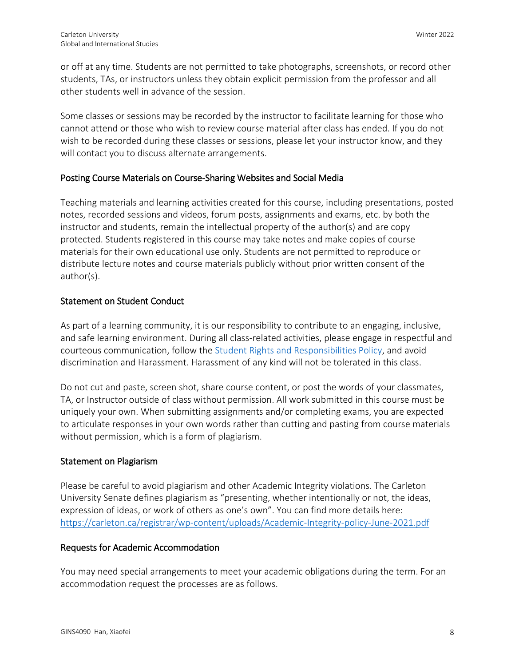or off at any time. Students are not permitted to take photographs, screenshots, or record other students, TAs, or instructors unless they obtain explicit permission from the professor and all other students well in advance of the session.

Some classes or sessions may be recorded by the instructor to facilitate learning for those who cannot attend or those who wish to review course material after class has ended. If you do not wish to be recorded during these classes or sessions, please let your instructor know, and they will contact you to discuss alternate arrangements.

# Posting Course Materials on Course-Sharing Websites and Social Media

Teaching materials and learning activities created for this course, including presentations, posted notes, recorded sessions and videos, forum posts, assignments and exams, etc. by both the instructor and students, remain the intellectual property of the author(s) and are copy protected. Students registered in this course may take notes and make copies of course materials for their own educational use only. Students are not permitted to reproduce or distribute lecture notes and course materials publicly without prior written consent of the author(s).

## Statement on Student Conduct

As part of a learning community, it is our responsibility to contribute to an engaging, inclusive, and safe learning environment. During all class-related activities, please engage in respectful and courteous communication, follow the [Student Rights and Responsibilities Policy,](https://carleton.ca/secretariat/wp-content/uploads/Students-Rights-and-Responsibilities-Policy.pdf) and avoid discrimination and Harassment. Harassment of any kind will not be tolerated in this class.

Do not cut and paste, screen shot, share course content, or post the words of your classmates, TA, or Instructor outside of class without permission. All work submitted in this course must be uniquely your own. When submitting assignments and/or completing exams, you are expected to articulate responses in your own words rather than cutting and pasting from course materials without permission, which is a form of plagiarism.

### Statement on Plagiarism

Please be careful to avoid plagiarism and other Academic Integrity violations. The Carleton University Senate defines plagiarism as "presenting, whether intentionally or not, the ideas, expression of ideas, or work of others as one's own". You can find more details here: <https://carleton.ca/registrar/wp-content/uploads/Academic-Integrity-policy-June-2021.pdf>

### Requests for Academic Accommodation

You may need special arrangements to meet your academic obligations during the term. For an accommodation request the processes are as follows.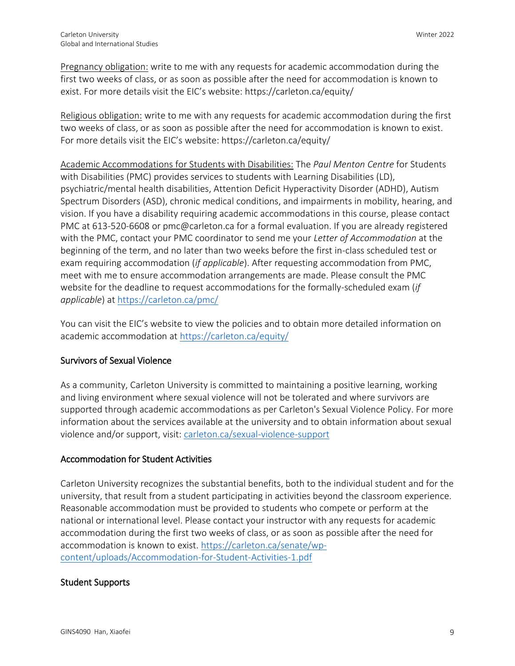Pregnancy obligation: write to me with any requests for academic accommodation during the first two weeks of class, or as soon as possible after the need for accommodation is known to exist. For more details visit the EIC's website: <https://carleton.ca/equity/>

Religious obligation: write to me with any requests for academic accommodation during the first two weeks of class, or as soon as possible after the need for accommodation is known to exist. For more details visit the EIC's website:<https://carleton.ca/equity/>

Academic Accommodations for Students with Disabilities: The *Paul Menton Centre* for Students with Disabilities (PMC) provides services to students with Learning Disabilities (LD), psychiatric/mental health disabilities, Attention Deficit Hyperactivity Disorder (ADHD), Autism Spectrum Disorders (ASD), chronic medical conditions, and impairments in mobility, hearing, and vision. If you have a disability requiring academic accommodations in this course, please contact PMC at 613-520-6608 or pmc@carleton.ca for a formal evaluation. If you are already registered with the PMC, contact your PMC coordinator to send me your *Letter of Accommodation* at the beginning of the term, and no later than two weeks before the first in-class scheduled test or exam requiring accommodation (*if applicable*). After requesting accommodation from PMC, meet with me to ensure accommodation arrangements are made. Please consult the PMC website for the deadline to request accommodations for the formally-scheduled exam (*if applicable*) a[t https://carleton.ca/pmc/](https://carleton.ca/pmc/)

You can visit the EIC's website to view the policies and to obtain more detailed information on academic accommodation at<https://carleton.ca/equity/>

# Survivors of Sexual Violence

As a community, Carleton University is committed to maintaining a positive learning, working and living environment where sexual violence will not be tolerated and where survivors are supported through academic accommodations as per Carleton's Sexual Violence Policy. For more information about the services available at the university and to obtain information about sexual violence and/or support, visit: [carleton.ca/sexual-violence-support](http://carleton.ca/sexual-violence-support)

# Accommodation for Student Activities

Carleton University recognizes the substantial benefits, both to the individual student and for the university, that result from a student participating in activities beyond the classroom experience. Reasonable accommodation must be provided to students who compete or perform at the national or international level. Please contact your instructor with any requests for academic accommodation during the first two weeks of class, or as soon as possible after the need for accommodation is known to exist. [https://carleton.ca/senate/wp](https://carleton.ca/senate/wp-content/uploads/Accommodation-for-Student-Activities-1.pdf)[content/uploads/Accommodation-for-Student-Activities-1.pdf](https://carleton.ca/senate/wp-content/uploads/Accommodation-for-Student-Activities-1.pdf)

# Student Supports